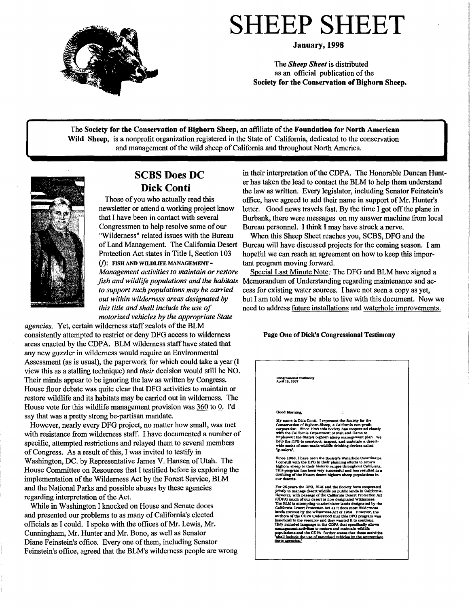

**January,1998** 

The *Sheep Sheet* is distributed as an official publication of the **Society for the Conservation of Bighorn Sheep.** 

The **Society for the Conservation of Bighorn Sheep,** an affiliate of the **Foundation for North American Wild Sheep,** is a nonprofit organization registered in the State of California, dedicated to the conservation and management of the wild sheep of California and throughout North America.



## **SCBS Does DC Dick Conti**

Those of you who actually read this newsletter or attend a working project know that I have been in contact with several Congressmen to help resolve some of our "Wilderness" related issues with the Bureau of Land Management. The California Desert Protection Act states in Title I, Section 103  $(f)$ : FISH AND WILDLIFE MANAGEMENT -*Management activities to maintain or restore to support such populations* may *be carried out within wilderness areas designated by this title and shall include the use of motorized vehicles by the appropriate State* 

*agencies.* Yet, certain wilderness staff zealots of the BLM consistently attempted to restrict or deny DFG access to wilderness areas enacted by the CDPA. BLM wilderness staff have stated that any new guzzler in wilderness would require an Environmental Assessment (as is usual), the paperwork for which could take a year (I view this as a stalling technique) and *their* decision would still be NO. Their minds appear to be ignoring the law as written by Congress. House floor debate was quite clear that DFG activities to maintain or restore wildlife and its habitats may be carried out in wilderness. The House vote for this wildlife management provision was 360 to 0. I'd say that was a pretty strong be-partisan mandate.

However, nearly every DFG project, no matter how small, was met with resistance from wilderness staff. I have documented a number of specific, attempted restrictions and relayed them to several members of Congress. As a result of this, I was invited to testify in Washington, DC. by Representative James V. Hansen of Utah. The House Committee on Resources that I testified before is exploring the implementation of the Wilderness Act by the Forest Service, BLM and the National Parks and possible abuses by these agencies regarding interpretation of the Act.

While in Washington I knocked on House and Senate doors and presented our problems to as many of California's elected officials as I could. I spoke with the offices of Mr. Lewis, Mr. Cunningham, Mr. Hunter and Mr. Bono, as well as Senator Diane Feinstein's office. Every one of them, including Senator Feinstein's office, agreed that the BLM's wilderness people are wrong

in their interpretation of the CDPA. The Honorable Duncan Hunter has taken the lead to contact the BLM to help them understand the law as written. Every legislator, including Senator Feinstein's office, have agreed to add their name in support of Mr. Hunter's letter. Good news travels fast. By the time I got off the plane in Burbank, there were messages on my answer machine from local Bureau personnel. I think I may have struck a nerve.

When this Sheep Sheet reaches you, SCBS, DFG and the Bureau will have discussed projects for the coming season. I am hopeful we can reach an agreement on how to keep this important program moving forward.

*fish and wildlife populations and the habitats*  Memorandum of Understanding regarding maintenance and ac-Special Last Minute Note: The DFG and BLM have signed a cess for existing water sources. I have not seen a copy as yet, but I am told we may be able to live with this document. Now we need to address future installations and waterhole improvements.

#### Page One of Dick's Congressional Testimony

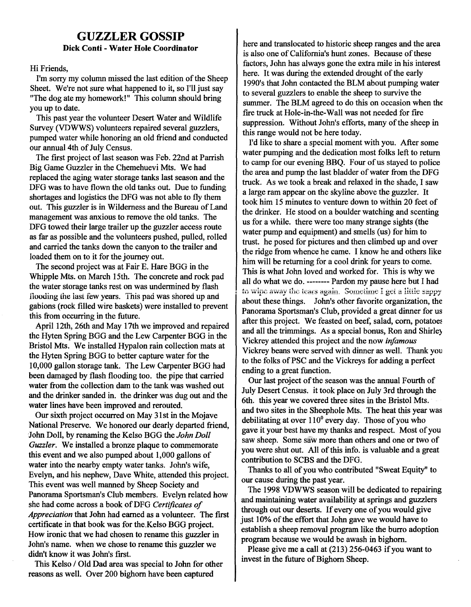## **GUZZLER GOSSIP Dick Conti** - **Water Hole Coordinator**

#### Hi Friends,

I'm sorry my column missed the last edition of the Sheep Sheet. We're not sure what happened to it, so I'll just say "The dog ate my homework!" This column should bring you up to date.

This past year the volunteer Desert Water and Wildlife Survey (VDWWS) volunteers repaired several guzzlers, pumped water while honoring an old friend and conducted our annual 4th of July Census.

The first project of last season was Feb. 22nd at Parrish Big Game Guzzler in the Chemehuevi Mts. We had replaced the aging water storage tanks last season and the DFG was to have flown the old tanks out. Due to funding shortages and logistics the DFG was not able to fly them out. This guzzler is in Wilderness and the Bureau of Land management was anxious to remove the old tanks. The DFG towed their large trailer up the guzzler access route as far as possible and the volunteers pushed, pulled, rolled and carried the tanks down the canyon to the trailer and loaded them on to it for the journey out.

The second project was at Fair E. Hare BGG in the Whipple Mts. on March 15th. The concrete and rock pad the water storage tanks rest on was undermined by flash flooding the last few years. This pad was shored up and gabions (rock filled wire baskets) were installed to prevent this from occurring in the future.

April 12th, 26th and May 17th we improved and repaired the Hyten Spring BGG and the Lew Carpenter BGG in the Bristol Mts. We installed Hypalon rain collection mats at the Hyten Spring BGG to better capture water for the 10,000 gallon storage tank. The Lew Carpenter BGG had been damaged by flash flooding too. the pipe that earned water from the collection dam to the tank was washed out and the drinker sanded in. the drinker was dug out and the water lines have been improved and rerouted.

Our sixth project occurred on May 31st in the Mojave National Preserve. We honored our dearly departed friend, John Doll, by renaming the Kelso BGG the *John Doll Guzzler.* We installed a bronze plaque to commemorate this event and we also pumped about 1,000 gallons of water into the nearby empty water tanks. John's wife, Evelyn, and his nephew, Dave White, attended this project. This event was well manned by Sheep Society and Panorama Sportsman's Club members. Evelyn related how she had come across a book ofDFG *Certificates of Appreciation* that John had earned as a volunteer. The first certificate in that book was for the.Kelso BGG project. How ironic that we had chosen to rename this guzzler in John's name. when we chose to rename this guzzler we didn't know it was John's first.

This Kelso / Old Dad area was special to John for other reasons as well. Over 200 bighorn have been captured

here and translocated to historic sheep ranges and the area is also one of California's hunt zones. Because of these factors, John has always gone the extra mile in his interest here. It was during the extended drought of the early 1990's that John contacted the BLM about pumping water to several guzzlers to enable the sheep to survive the summer. The BLM agreed to do this on occasion when the fire truck at Hole-in-the-Wall was not needed for fire suppression. Without John's efforts, many of the sheep in this range would not be here today.

I'd like to share a special moment with you. After some water pumping and the dedication most folks left to return to camp for our evening BBQ. Four of us stayed to police the area and pump the last bladder of water from the DFG truck. As we took a break and relaxed in the shade, I saw a large ram appear on the skyline above the guzzler. It took him 15 minutes to venture down to within 20 feet of the drinker. He stood on a boulder watching and scenting us for a while. there were too many strange sights (the water pump and equipment) and smells (us) for him to trust. he posed for pictures and then climbed up and over the ridge from whence he came. I know he and others like him will be returning for a cool drink for years to come. This is what John loved and worked for. This is why we all do what we do. -------- Pardon my pause here but I had to wipe away the tears again. Sometime I get a little sappy about these things. John's other favorite organization, the Panorama Sportsman's Club, provided a great dinner for us after this project. We feasted on beef, salad, corn, potatoes and all the trimmings. As a special bonus, Ron and Shirle) Vickrey attended this project and the now *infamous*  Vickrey beans were served with dinner as well. Thank you to the folks of PSC and the Vickreys for adding a perfect ending to a great function.

Our last project of the season was the annual Fourth of July Desert Census. it took place on July 3rd through the 6th. this year we covered three sites in the Bristol Mts. and two sites in the Sheephole Mts. The heat this year was debilitating at over  $110^0$  every day. Those of you who gave it your best have my thanks and respect. Most of you saw sheep. Some saw more than others and one or two of you were shut out. All of this info. is valuable and a great contribution to SCBS and the DFG.

Thanks to all of you who contributed "Sweat Equity" to our cause during the past year.

The 1998 VDWWS season will be dedicated to repairing and maintaining water availability at springs and guzzlers through out our deserts. If every one of you would give just 10% of the effort that John gave we would have to. establish a sheep removal program like the burro adoption program because we would be awash in bighorn.

Please give me a call at (213) 256-0463 if you want to invest in the future of Bighorn Sheep.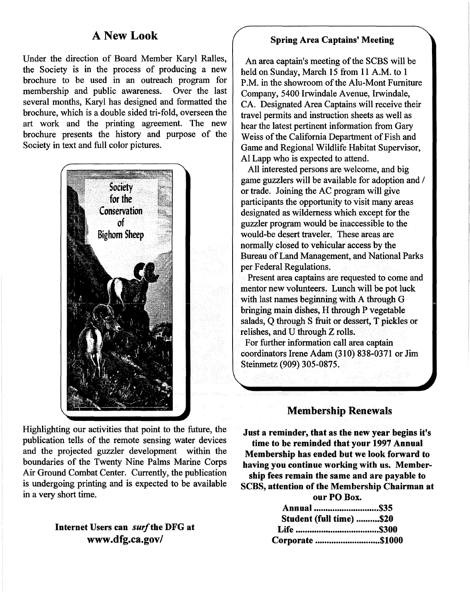## **A New Look**

Under the direction of Board Member Karyl Ralles, the Society is in the process of producing a new brochure to be used in an outreach program for<br>membership and public awareness. Over the last membership and public awareness. several months, Karyl has designed and formatted the brochure, which is a double sided tri-fold, overseen the art work and the printing agreement. The new brochure presents the history and purpose of the Society in text and full color pictures.



Highlighting our activities that point to the future, the publication tells of the remote sensing water devices and the projected guzzler development within the boundaries of the Twenty Nine Palms Marine Corps Air Ground Combat Center. Currently, the publication is undergoing printing and is expected to be available in a very short time.

## **Internet Users can** *surf* **the DFG at www .dfg.ca.gov/**

### **Spring Area Captains' Meeting**

An area captain's meeting of the SCBS will be held on Sunday, March 15 from 11 A.M. to 1 P.M. in the showroom of the Alu-Mont Furniture Company, 5400 Irwindale Avenue, Irwindale, CA. Designated Area Captains will receive their travel permits and instruction sheets as well as hear the latest pertinent information from Gary Weiss of the California Department of Fish and Game and Regional Wildlife Habitat Supervisor, Al Lapp who is expected to attend.

All interested persons are welcome, and big game guzzlers will be available for adoption and / or trade. Joining the AC program will give participants the opportunity to visit many areas designated as wilderness which except for the guzzler program would be inaccessible to the would-be desert traveler. These areas are normally closed to vehicular access by the Bureau of Land Management, and National Parks per Federal Regulations.

Present area captains are requested to come and mentor new volunteers. Lunch will be pot luck with last names beginning with A through G bringing main dishes, H through P vegetable salads, Q through S fruit or dessert, T pickles or relishes, and U through Z rolls.

For further information call area captain coordinators Irene Adam (310) 838-0371 or Jim Steinmetz (909) 305-0875.

## **Membership Renewals**

**Just a reminder, that as the new year begins it's time to be reminded that your 1997 Annual Membership has ended but we look forward to having you continue working with us. Membership fees remain the same and are payable to SCBS, attention of the Membership Chairman at our PO Box.** 

> **Annual ............................ \$35 Student (full time) .......... \$20 Life ··········••o••·····················\$300 Corporate ............................ \$1000**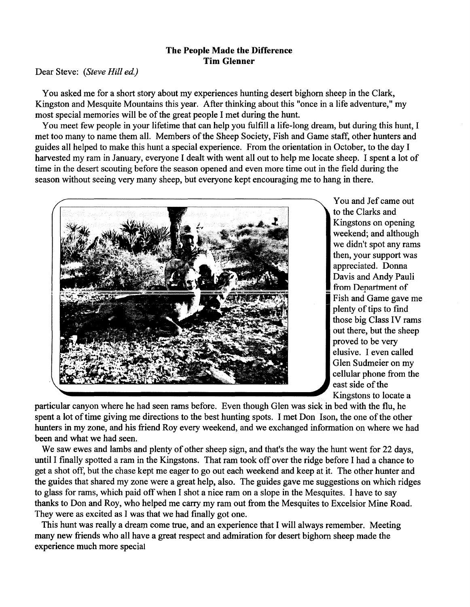### **The People Made the Difference Tim Glenner**

#### Dear Steve: *(Steve Hill ed.)*

You asked me for a short story about my experiences hunting desert bighorn sheep in the Clark, Kingston and Mesquite Mountains this year. After thinking about this "once in a life adventure," my most special memories will be of the great people I met during the hunt.

You meet few people in your lifetime that can help you fulfill a life-long dream, but during this hunt, I met too many to name them all. Members of the Sheep Society, Fish and Game staff, other hunters and guides all helped to make this hunt a special experience. From the orientation in October, to the day I harvested my ram in January, everyone I dealt with went all out to help me locate sheep. I spent a lot of time in the desert scouting before the season opened and even more time out in the field during the season without seeing very many sheep, but everyone kept encouraging me to hang in there.



You and Jef came out to the Clarks and Kingstons on opening weekend; and although we didn't spot any rams then, your support was appreciated. Donna Davis and Andy Pauli from Department of Fish and Game gave me plenty of tips to find those big Class IV rams out there, but the sheep proved to be very elusive. I even called Glen Sudmeier on my cellular phone from the east side of the Kingstons to locate a

particular canyon where he had seen rams before. Even though Glen was sick in bed with the flu, he spent a lot of time giving me directions to the best hunting spots. I met Don Ison, the one of the other hunters in my zone, and his friend Roy every weekend, and we exchanged information on where we had been and what we had seen.

We saw ewes and lambs and plenty of other sheep sign, and that's the way the hunt went for 22 days, until I finally spotted a ram in the Kingstons. That ram took off over the ridge before I had a chance to get a shot off, but the chase kept me eager to go out each weekend and keep at it. The other hunter and the guides that shared my zone were a great help, also. The guides gave me suggestions on which ridges to glass for rams, which paid off when I shot a nice ram on a slope in the Mesquites. I have to say thanks to Don and Roy, who helped me carry my ram out from the Mesquites to Excelsior Mine Road. They were as excited as I was that we had finally got one.

This hunt was really a dream come true, and an experience that I will always remember. Meeting many new friends who all have a great respect and admiration for desert bighorn sheep made the experience much more special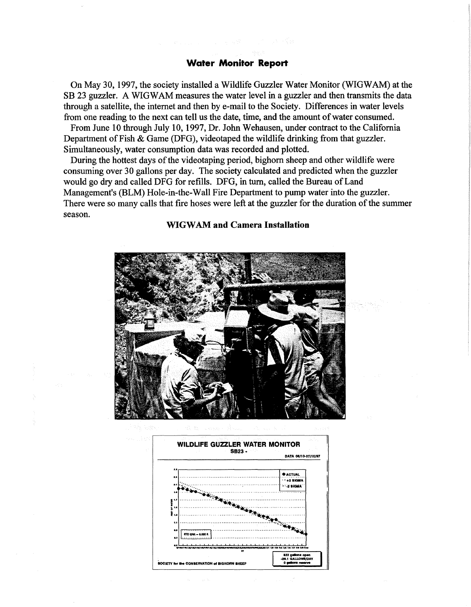#### **Water Monitor Report**

On May 30, 1997, the society installed a Wildlife Guzzler Water Monitor (WIGWAM) at the SB 23 guzzler. A WIGWAM measures the water level in a guzzler and then transmits the data through a satellite, the internet and then by e-mail to the Society. Differences in water levels from one reading to the next can tell us the date, time, and the amount of water consumed.

From June 10 through July 10, 1997, Dr. John Wehausen, under contract to the California Department of Fish & Game (DFG), videotaped the wildlife drinking from that guzzler. Simultaneously, water consumption data was recorded and plotted.

During the hottest days of the videotaping period, bighorn sheep and other wildlife were consuming over 30 gallons per day. The society calculated and predicted when the guzzler would go dry and called DFG for refills. DFG, in tum, called the Bureau of Land Management's (BLM) Hole-in-the-Wall Fire Department to pump water into the guzzler. There were so many calls that fire hoses were left at the guzzler for the duration of the summer season.

#### **WIGWAM and Camera Installation**



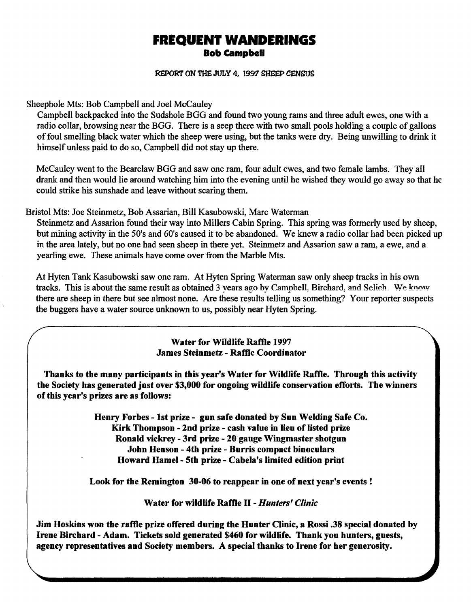# **FREQUENT WANDERINGS Bob campbell**

**REPORT ON THE JULY 4, 1997 SHEEP CENSUS** 

Sheephole Mts: Bob Campbell and Joel McCauley

Campbell backpacked into the Sudshole BGG and found two young rams and three adult ewes, one with a radio collar, browsing near the BGG. There is a seep there with two small pools holding a couple of gallons of foul smelling black water which the sheep were using, but the tanks were dry. Being unwilling to drink it himself unless paid to do so, Campbell did not stay up there.

McCauley went to the Bearclaw BGG and saw one ram, four adult ewes, and two female lambs. They all drank and then would lie around watching him into the evening until he wished they would go away so that he could strike his sunshade and leave without scaring them.

Bristol Mts: Joe Steinmetz, Bob Assarian, Bill Kasubowski, Marc Waterman

Steinmetz and Assarion found their way into Millers Cabin Spring. This spring was formerly used by sheep, but mining activity in the 50's and 60's caused it to be abandoned. We knew a radio collar had been picked up in the area lately, but no one had seen sheep in there yet. Steinmetz and Assarion saw a ram, a ewe, and a yearling ewe. These animals have come over from the Marble Mts.

At Hyten Tank Kasubowski saw one ram. At Hyten Spring Waterman saw only sheep tracks in his own tracks. This is about the same result as obtained 3 years ago by Campbell, Birchard, and Selich. We know there are sheep in there but see almost none. Are these results telling us something? Your reporter suspects the buggers have a water source unknown to us, possibly near Hyten Spring.

> **Water for Wildlife Raffle 1997 James Steinmetz** - **Raffle Coordinator**

**Thanks to the many participants in this year's Water for Wildlife Raffle. Through this activity the Society bas generated just over \$3,000 for ongoing wildlife conservation efforts. The winners of this year's prizes are as follows:** 

> **Henry Forbes** - **1st prize** - **gun safe donated by Sun Welding Safe Co. Kirk Thompson** - **2nd prize** - **cash value in lieu of listed prize Ronald vickrey** - **3rd prize** - **20 gauge Wingmaster shotgun John Henson** - **4th prize** - **Burris compact binoculars Howard Hamel- 5th prize** - **Cabela's limited edition print**

**Look for the Remington 30-06 to reappear in one of next year's events** !

**Water for wildlife Raffle** II - *Hunters' Clinic* 

**Jim Hoskins won the raffle prize offered during the Hunter Clinic, a Rossi .38 special donated by Irene Birchard** - **Adam. Tickets sold generated \$460 for wildlife. Thank you hunters, guests, agency representatives and Society members. A special thanks to Irene for her generosity.**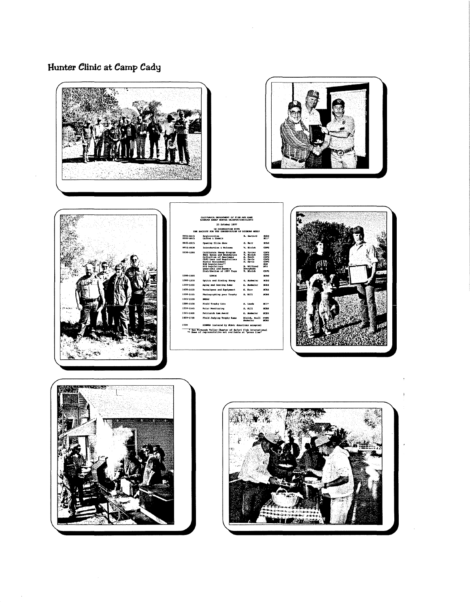# Hunter Clinic at Camp Cady







|                                                                                 | 25 October 1997                                                                                                                                                                                                                                       |                                                                                                                  |                                                                                       |
|---------------------------------------------------------------------------------|-------------------------------------------------------------------------------------------------------------------------------------------------------------------------------------------------------------------------------------------------------|------------------------------------------------------------------------------------------------------------------|---------------------------------------------------------------------------------------|
| <b>18 COOPERATION MITH</b><br>THE ROCIETY FOR THE CONSERVATION OF RIGHONS SELLY |                                                                                                                                                                                                                                                       |                                                                                                                  |                                                                                       |
| 0000-0015<br>0100-0115                                                          | <b>Besistration</b><br>Coffee & Domate                                                                                                                                                                                                                | <b>R.</b> Carrard                                                                                                | $\mathbf{m}$<br>acr+                                                                  |
| 0045-0015                                                                       | Opening Slide Show                                                                                                                                                                                                                                    | O. Berr                                                                                                          | <b>SCRS</b>                                                                           |
| 0915-0930                                                                       | Introduction & Welcome                                                                                                                                                                                                                                | V. Bieles                                                                                                        | <b>COM</b>                                                                            |
| 0930-1200                                                                       | California Sheep Program<br>Munt Sores and Moundaries<br>Collection of Specimens<br>CDFG Laws and Requisitous<br><b>Huster Barasment</b><br><b>Bill Reculations**</b><br><b>FFS Reculations</b><br>Ocestions and Roswers<br>Distribution of 1997 Facs | S. Torres<br>V. Meich<br>A. Pauli<br>D. Davis<br>D. Devis<br><b>B. Willhoad</b><br><b>Everybody</b><br>v. nietok | core.<br><b>CD/G</b><br>com<br><b>COFG</b><br><b>CDFG</b><br><b>STAC</b><br>323<br>œm |
| 1200-1300                                                                       | <b>LUMCH</b>                                                                                                                                                                                                                                          |                                                                                                                  | 8031                                                                                  |
| 1300-1330                                                                       | Optics and Finding Sheep                                                                                                                                                                                                                              | G. Submist                                                                                                       | --                                                                                    |
| 1330-1403                                                                       | Asias and Scoting Rams                                                                                                                                                                                                                                | G. Substant                                                                                                      | <b>POINT</b>                                                                          |
| 1400-1433                                                                       | Techniques and Besinment                                                                                                                                                                                                                              | G. Karr                                                                                                          | <b>ACRE</b>                                                                           |
| 1430-1445                                                                       | Photographing was Trophy                                                                                                                                                                                                                              | <b>1. E111</b>                                                                                                   | <b>ACTAS</b>                                                                          |
| 1443-1500                                                                       | <b>BREAK</b>                                                                                                                                                                                                                                          |                                                                                                                  |                                                                                       |
| 1300-1530                                                                       | Pield Trochy Care                                                                                                                                                                                                                                     | S. Leede                                                                                                         | $-1$                                                                                  |
| $1530 - 1545$                                                                   | <b>Fater Monitoring</b>                                                                                                                                                                                                                               | 8. ALII                                                                                                          | <b>BCBS</b>                                                                           |
| 1545-1600                                                                       | Patriarch Res Juard                                                                                                                                                                                                                                   | G. Subsider                                                                                                      | $-11$                                                                                 |
| 1603-1750                                                                       | Field Judging Trophy Same                                                                                                                                                                                                                             | Bielch, Pauli<br>Andre Ler                                                                                       | <b>COFF</b><br><b>BOAS</b>                                                            |
| 1730                                                                            | DIMMER (catared by MCBB; donations accupied)                                                                                                                                                                                                          |                                                                                                                  |                                                                                       |